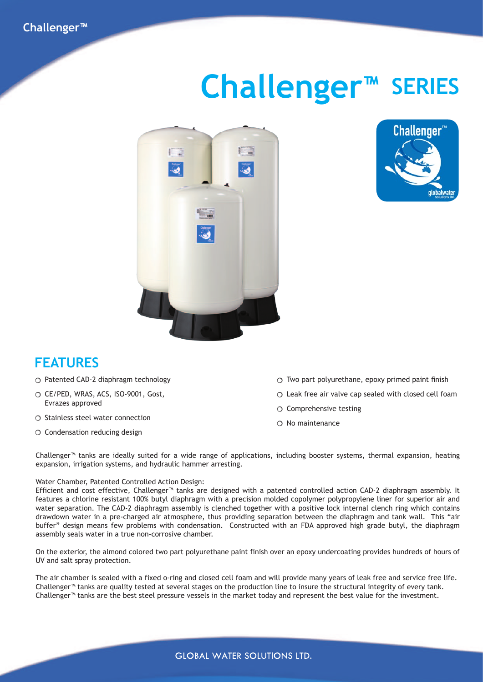# **Challenger™ SERIES**





### **FEATURES**

- $\bigcirc$  Patented CAD-2 diaphragm technology
- CE/PED, WRAS, ACS, ISO-9001, Gost, Evrazes approved
- $\circ$  Stainless steel water connection
- $\circ$  Condensation reducing design
- $\bigcirc$  Two part polyurethane, epoxy primed paint finish
- $\circ$  Leak free air valve cap sealed with closed cell foam
- $\circ$  Comprehensive testing
- $\bigcirc$  No maintenance

Challenger™ tanks are ideally suited for a wide range of applications, including booster systems, thermal expansion, heating expansion, irrigation systems, and hydraulic hammer arresting.

#### Water Chamber, Patented Controlled Action Design:

Efficient and cost effective, Challenger™ tanks are designed with a patented controlled action CAD-2 diaphragm assembly. It features a chlorine resistant 100% butyl diaphragm with a precision molded copolymer polypropylene liner for superior air and water separation. The CAD-2 diaphragm assembly is clenched together with a positive lock internal clench ring which contains drawdown water in a pre-charged air atmosphere, thus providing separation between the diaphragm and tank wall. This "air buffer" design means few problems with condensation. Constructed with an FDA approved high grade butyl, the diaphragm assembly seals water in a true non-corrosive chamber.

On the exterior, the almond colored two part polyurethane paint finish over an epoxy undercoating provides hundreds of hours of UV and salt spray protection.

The air chamber is sealed with a fixed o-ring and closed cell foam and will provide many years of leak free and service free life. Challenger™ tanks are quality tested at several stages on the production line to insure the structural integrity of every tank. Challenger™ tanks are the best steel pressure vessels in the market today and represent the best value for the investment.